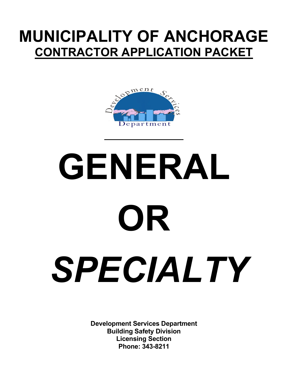## **MUNICIPALITY OF ANCHORAGE CONTRACTOR APPLICATION PACKET**



# **GENERAL OR** *SPECIALTY*

**Development Services Department Building Safety Division Licensing Section Phone: 343-8211**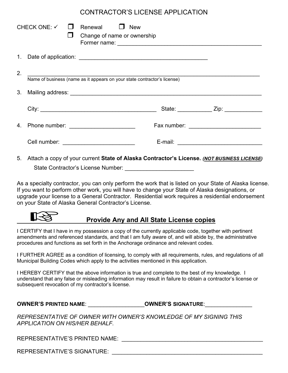#### CONTRACTOR'S LICENSE APPLICATION

|    | CHECK ONE: $\checkmark$ $\Box$                                           |  | Renewal $\Box$ New<br>Change of name or ownership |                                           |  |                                          |  |
|----|--------------------------------------------------------------------------|--|---------------------------------------------------|-------------------------------------------|--|------------------------------------------|--|
|    |                                                                          |  |                                                   |                                           |  |                                          |  |
| 2. | Name of business (name as it appears on your state contractor's license) |  |                                                   |                                           |  |                                          |  |
|    |                                                                          |  |                                                   |                                           |  |                                          |  |
|    |                                                                          |  |                                                   |                                           |  | State: ______________ Zip: _____________ |  |
|    |                                                                          |  |                                                   | Fax number: _____________________________ |  |                                          |  |
|    |                                                                          |  |                                                   |                                           |  |                                          |  |
|    |                                                                          |  |                                                   |                                           |  |                                          |  |

5. Attach a copy of your current **State of Alaska Contractor's License.** *(NOT BUSINESS LICENSE)* State Contractor's License Number: **With any official contractor** 

As a specialty contractor, you can only perform the work that is listed on your State of Alaska license. If you want to perform other work, you will have to change your State of Alaska designations, or upgrade your license to a General Contractor. Residential work requires a residential endorsement on your State of Alaska General Contractor's License.

#### **Provide Any and All State License copies**

I CERTIFY that I have in my possession a copy of the currently applicable code, together with pertinent amendments and referenced standards, and that I am fully aware of, and will abide by, the administrative procedures and functions as set forth in the Anchorage ordinance and relevant codes.

I FURTHER AGREE as a condition of licensing, to comply with all requirements, rules, and regulations of all Municipal Building Codes which apply to the activities mentioned in this application.

I HEREBY CERTIFY that the above information is true and complete to the best of my knowledge. I understand that any false or misleading information may result in failure to obtain a contractor's license or subsequent revocation of my contractor's license.

| <b>OWNER'S PRINTED NAME:</b> |  |  |
|------------------------------|--|--|
|------------------------------|--|--|

**OWNER'S SIGNATURE:** 

*REPRESENTATIVE OF OWNER WITH OWNER'S KNOWLEDGE OF MY SIGNING THIS APPLICATION ON HIS/HER BEHALF.*

REPRESENTATIVE'S PRINTED NAME:  $\blacksquare$ 

REPRESENTATIVE'S SIGNATURE: \_\_\_\_\_\_\_\_\_\_\_\_\_\_\_\_\_\_\_\_\_\_\_\_\_\_\_\_\_\_\_\_\_\_\_\_\_\_\_\_\_\_\_\_\_\_\_\_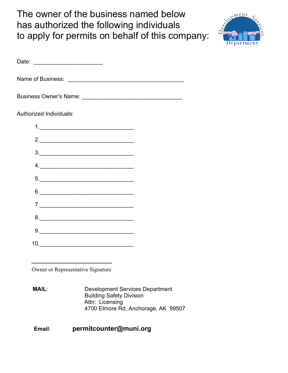The owner of the business named below has authorized the following individuals to apply for permits on behalf of this company:



| Authorized Individuals:                                                                                                                                                                                                                                                                                                                                                                                                         |  |
|---------------------------------------------------------------------------------------------------------------------------------------------------------------------------------------------------------------------------------------------------------------------------------------------------------------------------------------------------------------------------------------------------------------------------------|--|
|                                                                                                                                                                                                                                                                                                                                                                                                                                 |  |
| 2.                                                                                                                                                                                                                                                                                                                                                                                                                              |  |
|                                                                                                                                                                                                                                                                                                                                                                                                                                 |  |
| 4.                                                                                                                                                                                                                                                                                                                                                                                                                              |  |
|                                                                                                                                                                                                                                                                                                                                                                                                                                 |  |
| 6.                                                                                                                                                                                                                                                                                                                                                                                                                              |  |
|                                                                                                                                                                                                                                                                                                                                                                                                                                 |  |
| 8.                                                                                                                                                                                                                                                                                                                                                                                                                              |  |
| $9. \qquad \qquad 9. \qquad \qquad 9. \qquad \qquad 9. \qquad \qquad 9. \qquad \qquad 9. \qquad \qquad 9. \qquad \qquad 1. \qquad \qquad 1. \qquad \qquad 1. \qquad \qquad 1. \qquad \qquad 1. \qquad \qquad 1. \qquad \qquad 1. \qquad \qquad 1. \qquad \qquad 1. \qquad \qquad 1. \qquad \qquad 1. \qquad \qquad 1. \qquad \qquad 1. \qquad \qquad 1. \qquad \qquad 1. \qquad \qquad 1. \qquad \qquad 1. \qquad \qquad 1. \q$ |  |
|                                                                                                                                                                                                                                                                                                                                                                                                                                 |  |

Owner or Representative Signature

**MAIL:** Development Services Department Building Safety Division Attn: Licensing 4700 Elmore Rd, Anchorage, AK 99507

#### **Email**: **permitcounter@muni.org**